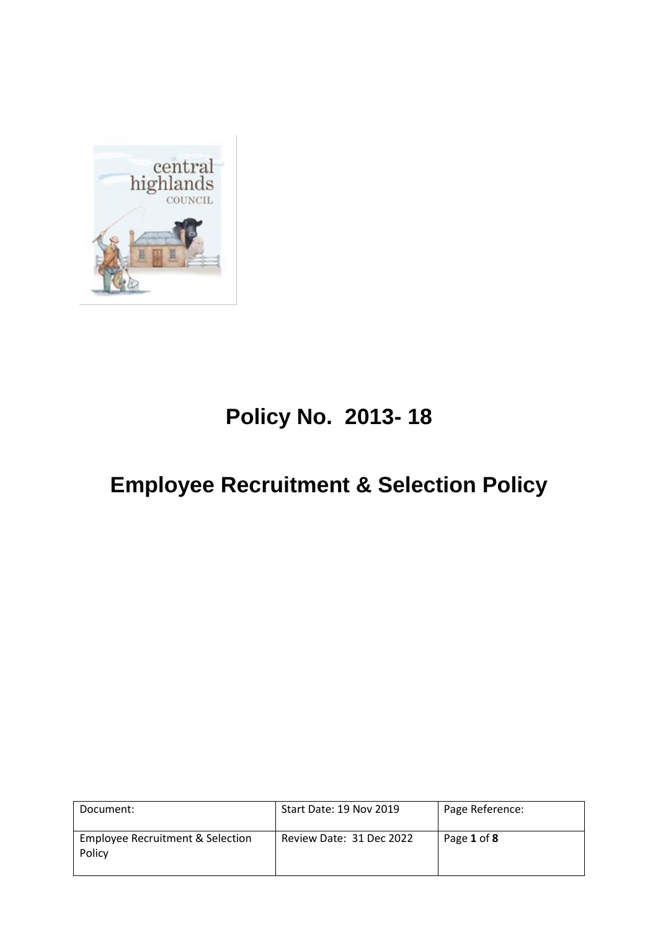

# **Policy No. 2013- 18**

# **Employee Recruitment & Selection Policy**

| Document:                                  | Start Date: 19 Nov 2019  | Page Reference: |
|--------------------------------------------|--------------------------|-----------------|
| Employee Recruitment & Selection<br>Policy | Review Date: 31 Dec 2022 | Page 1 of 8     |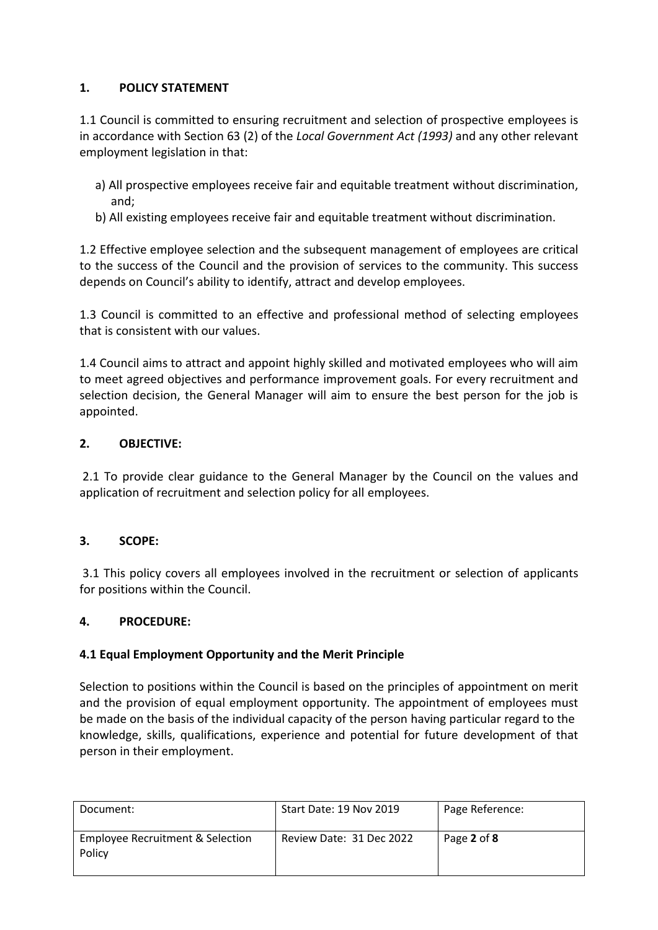## **1. POLICY STATEMENT**

1.1 Council is committed to ensuring recruitment and selection of prospective employees is in accordance with Section 63 (2) of the *Local Government Act (1993)* and any other relevant employment legislation in that:

- a) All prospective employees receive fair and equitable treatment without discrimination, and;
- b) All existing employees receive fair and equitable treatment without discrimination.

1.2 Effective employee selection and the subsequent management of employees are critical to the success of the Council and the provision of services to the community. This success depends on Council's ability to identify, attract and develop employees.

1.3 Council is committed to an effective and professional method of selecting employees that is consistent with our values.

1.4 Council aims to attract and appoint highly skilled and motivated employees who will aim to meet agreed objectives and performance improvement goals. For every recruitment and selection decision, the General Manager will aim to ensure the best person for the job is appointed.

## **2. OBJECTIVE:**

2.1 To provide clear guidance to the General Manager by the Council on the values and application of recruitment and selection policy for all employees.

## **3. SCOPE:**

3.1 This policy covers all employees involved in the recruitment or selection of applicants for positions within the Council.

## **4. PROCEDURE:**

## **4.1 Equal Employment Opportunity and the Merit Principle**

Selection to positions within the Council is based on the principles of appointment on merit and the provision of equal employment opportunity. The appointment of employees must be made on the basis of the individual capacity of the person having particular regard to the knowledge, skills, qualifications, experience and potential for future development of that person in their employment.

| Document:                                  | Start Date: 19 Nov 2019  | Page Reference: |
|--------------------------------------------|--------------------------|-----------------|
| Employee Recruitment & Selection<br>Policy | Review Date: 31 Dec 2022 | Page 2 of 8     |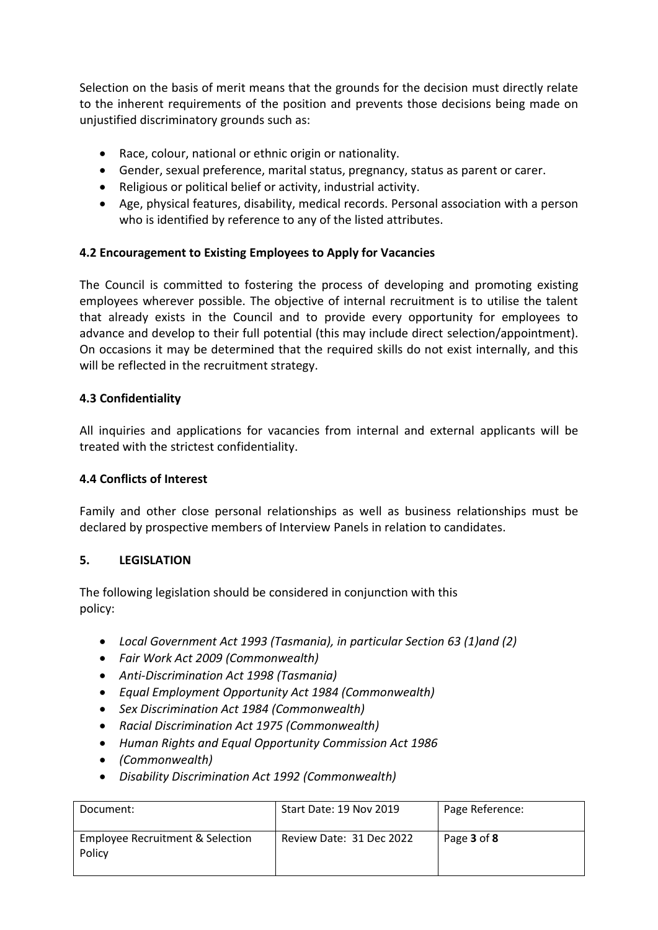Selection on the basis of merit means that the grounds for the decision must directly relate to the inherent requirements of the position and prevents those decisions being made on unjustified discriminatory grounds such as:

- Race, colour, national or ethnic origin or nationality.
- Gender, sexual preference, marital status, pregnancy, status as parent or carer.
- Religious or political belief or activity, industrial activity.
- Age, physical features, disability, medical records. Personal association with a person who is identified by reference to any of the listed attributes.

## **4.2 Encouragement to Existing Employees to Apply for Vacancies**

The Council is committed to fostering the process of developing and promoting existing employees wherever possible. The objective of internal recruitment is to utilise the talent that already exists in the Council and to provide every opportunity for employees to advance and develop to their full potential (this may include direct selection/appointment). On occasions it may be determined that the required skills do not exist internally, and this will be reflected in the recruitment strategy.

#### **4.3 Confidentiality**

All inquiries and applications for vacancies from internal and external applicants will be treated with the strictest confidentiality.

#### **4.4 Conflicts of Interest**

Family and other close personal relationships as well as business relationships must be declared by prospective members of Interview Panels in relation to candidates.

#### **5. LEGISLATION**

The following legislation should be considered in conjunction with this policy:

- *Local Government Act 1993 (Tasmania), in particular Section 63 (1)and (2)*
- *Fair Work Act 2009 (Commonwealth)*
- *Anti-Discrimination Act 1998 (Tasmania)*
- *Equal Employment Opportunity Act 1984 (Commonwealth)*
- *Sex Discrimination Act 1984 (Commonwealth)*
- *Racial Discrimination Act 1975 (Commonwealth)*
- *Human Rights and Equal Opportunity Commission Act 1986*
- *(Commonwealth)*
- *Disability Discrimination Act 1992 (Commonwealth)*

| Document:                                  | Start Date: 19 Nov 2019  | Page Reference: |
|--------------------------------------------|--------------------------|-----------------|
| Employee Recruitment & Selection<br>Policy | Review Date: 31 Dec 2022 | Page 3 of 8     |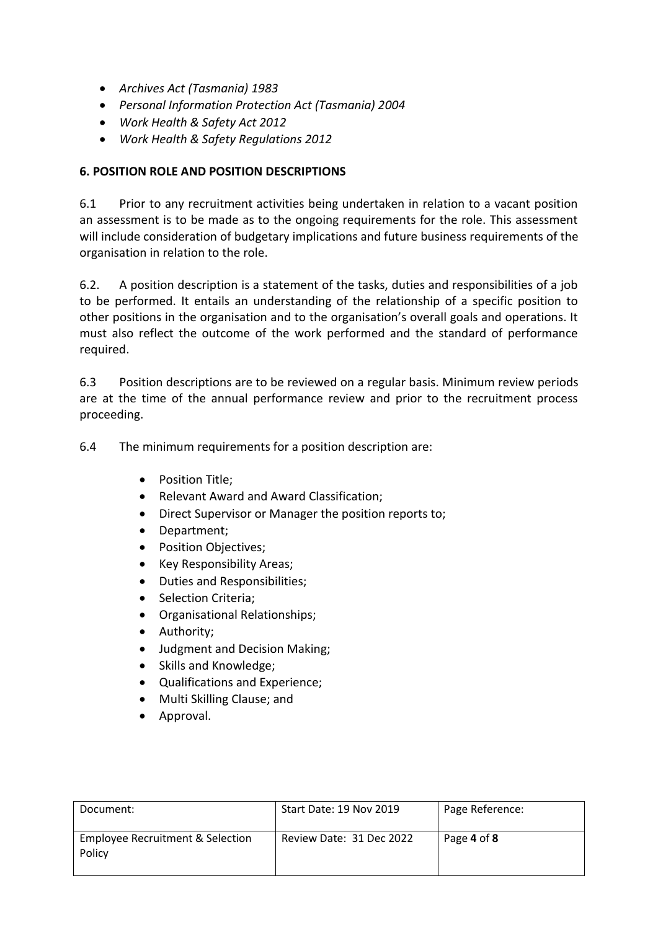- *Archives Act (Tasmania) 1983*
- *Personal Information Protection Act (Tasmania) 2004*
- *Work Health & Safety Act 2012*
- *Work Health & Safety Regulations 2012*

## **6. POSITION ROLE AND POSITION DESCRIPTIONS**

6.1 Prior to any recruitment activities being undertaken in relation to a vacant position an assessment is to be made as to the ongoing requirements for the role. This assessment will include consideration of budgetary implications and future business requirements of the organisation in relation to the role.

6.2. A position description is a statement of the tasks, duties and responsibilities of a job to be performed. It entails an understanding of the relationship of a specific position to other positions in the organisation and to the organisation's overall goals and operations. It must also reflect the outcome of the work performed and the standard of performance required.

6.3 Position descriptions are to be reviewed on a regular basis. Minimum review periods are at the time of the annual performance review and prior to the recruitment process proceeding.

6.4 The minimum requirements for a position description are:

- Position Title:
- Relevant Award and Award Classification;
- Direct Supervisor or Manager the position reports to;
- Department;
- Position Objectives;
- Key Responsibility Areas:
- Duties and Responsibilities;
- Selection Criteria;
- Organisational Relationships;
- Authority;
- Judgment and Decision Making:
- Skills and Knowledge;
- Qualifications and Experience;
- Multi Skilling Clause; and
- Approval.

| Document:                                  | Start Date: 19 Nov 2019  | Page Reference: |
|--------------------------------------------|--------------------------|-----------------|
| Employee Recruitment & Selection<br>Policy | Review Date: 31 Dec 2022 | Page 4 of 8     |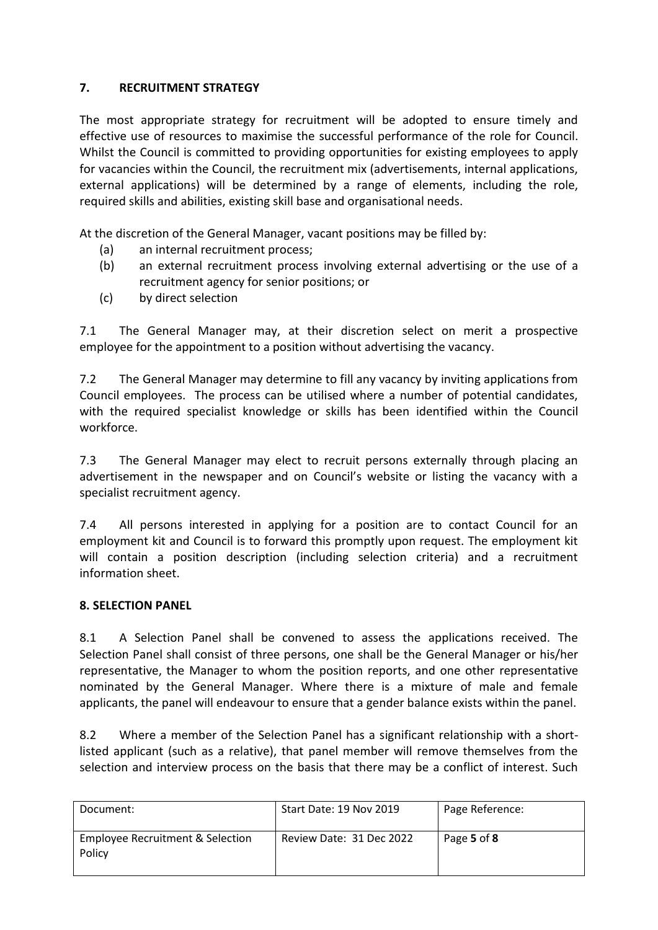## **7. RECRUITMENT STRATEGY**

The most appropriate strategy for recruitment will be adopted to ensure timely and effective use of resources to maximise the successful performance of the role for Council. Whilst the Council is committed to providing opportunities for existing employees to apply for vacancies within the Council, the recruitment mix (advertisements, internal applications, external applications) will be determined by a range of elements, including the role, required skills and abilities, existing skill base and organisational needs.

At the discretion of the General Manager, vacant positions may be filled by:

- (a) an internal recruitment process;
- (b) an external recruitment process involving external advertising or the use of a recruitment agency for senior positions; or
- (c) by direct selection

7.1 The General Manager may, at their discretion select on merit a prospective employee for the appointment to a position without advertising the vacancy.

7.2 The General Manager may determine to fill any vacancy by inviting applications from Council employees. The process can be utilised where a number of potential candidates, with the required specialist knowledge or skills has been identified within the Council workforce.

7.3 The General Manager may elect to recruit persons externally through placing an advertisement in the newspaper and on Council's website or listing the vacancy with a specialist recruitment agency.

7.4 All persons interested in applying for a position are to contact Council for an employment kit and Council is to forward this promptly upon request. The employment kit will contain a position description (including selection criteria) and a recruitment information sheet.

## **8. SELECTION PANEL**

8.1 A Selection Panel shall be convened to assess the applications received. The Selection Panel shall consist of three persons, one shall be the General Manager or his/her representative, the Manager to whom the position reports, and one other representative nominated by the General Manager. Where there is a mixture of male and female applicants, the panel will endeavour to ensure that a gender balance exists within the panel.

8.2 Where a member of the Selection Panel has a significant relationship with a shortlisted applicant (such as a relative), that panel member will remove themselves from the selection and interview process on the basis that there may be a conflict of interest. Such

| Document:                                  | Start Date: 19 Nov 2019  | Page Reference: |
|--------------------------------------------|--------------------------|-----------------|
| Employee Recruitment & Selection<br>Policy | Review Date: 31 Dec 2022 | Page 5 of 8     |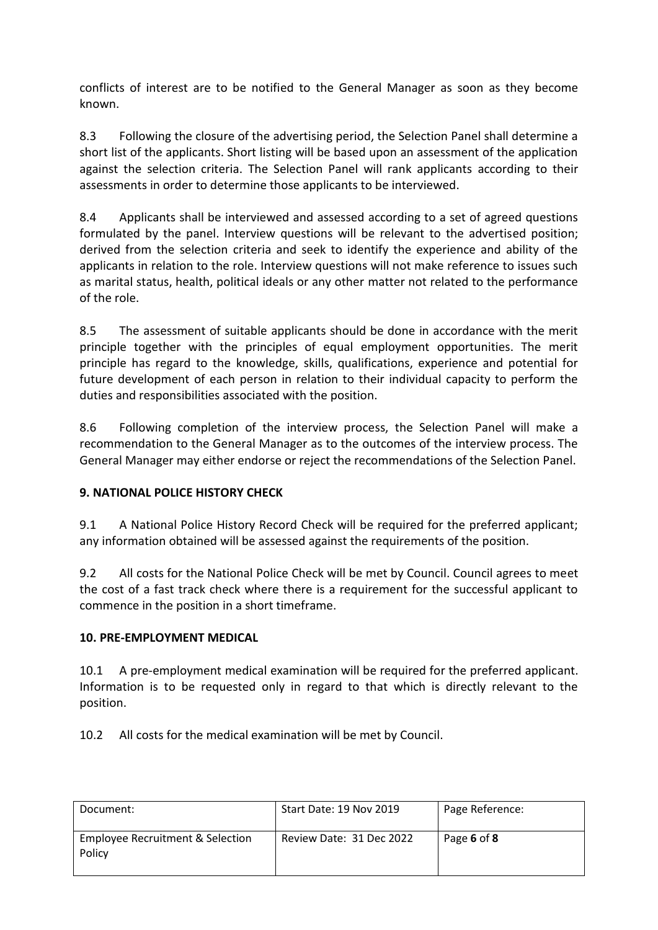conflicts of interest are to be notified to the General Manager as soon as they become known.

8.3 Following the closure of the advertising period, the Selection Panel shall determine a short list of the applicants. Short listing will be based upon an assessment of the application against the selection criteria. The Selection Panel will rank applicants according to their assessments in order to determine those applicants to be interviewed.

8.4 Applicants shall be interviewed and assessed according to a set of agreed questions formulated by the panel. Interview questions will be relevant to the advertised position; derived from the selection criteria and seek to identify the experience and ability of the applicants in relation to the role. Interview questions will not make reference to issues such as marital status, health, political ideals or any other matter not related to the performance of the role.

8.5 The assessment of suitable applicants should be done in accordance with the merit principle together with the principles of equal employment opportunities. The merit principle has regard to the knowledge, skills, qualifications, experience and potential for future development of each person in relation to their individual capacity to perform the duties and responsibilities associated with the position.

8.6 Following completion of the interview process, the Selection Panel will make a recommendation to the General Manager as to the outcomes of the interview process. The General Manager may either endorse or reject the recommendations of the Selection Panel.

## **9. NATIONAL POLICE HISTORY CHECK**

9.1 A National Police History Record Check will be required for the preferred applicant; any information obtained will be assessed against the requirements of the position.

9.2 All costs for the National Police Check will be met by Council. Council agrees to meet the cost of a fast track check where there is a requirement for the successful applicant to commence in the position in a short timeframe.

## **10. PRE-EMPLOYMENT MEDICAL**

10.1 A pre-employment medical examination will be required for the preferred applicant. Information is to be requested only in regard to that which is directly relevant to the position.

10.2 All costs for the medical examination will be met by Council.

| Document:                                  | Start Date: 19 Nov 2019  | Page Reference: |
|--------------------------------------------|--------------------------|-----------------|
| Employee Recruitment & Selection<br>Policy | Review Date: 31 Dec 2022 | Page 6 of 8     |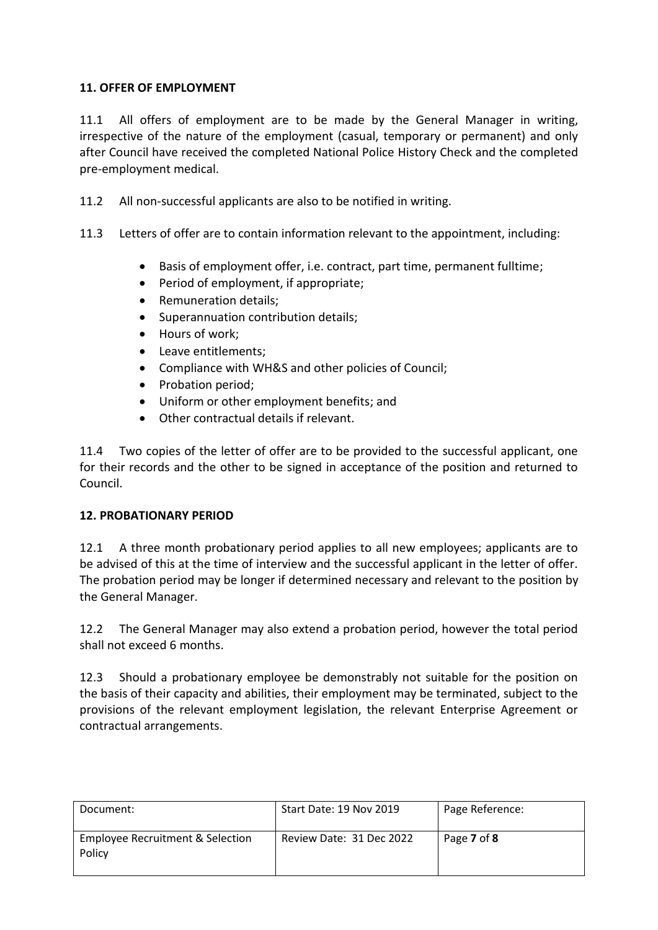## **11. OFFER OF EMPLOYMENT**

11.1 All offers of employment are to be made by the General Manager in writing, irrespective of the nature of the employment (casual, temporary or permanent) and only after Council have received the completed National Police History Check and the completed pre-employment medical.

11.2 All non-successful applicants are also to be notified in writing.

- 11.3 Letters of offer are to contain information relevant to the appointment, including:
	- Basis of employment offer, i.e. contract, part time, permanent fulltime;
	- Period of employment, if appropriate;
	- Remuneration details;
	- Superannuation contribution details;
	- Hours of work;
	- Leave entitlements:
	- Compliance with WH&S and other policies of Council;
	- Probation period;
	- Uniform or other employment benefits; and
	- Other contractual details if relevant.

11.4 Two copies of the letter of offer are to be provided to the successful applicant, one for their records and the other to be signed in acceptance of the position and returned to Council.

## **12. PROBATIONARY PERIOD**

12.1 A three month probationary period applies to all new employees; applicants are to be advised of this at the time of interview and the successful applicant in the letter of offer. The probation period may be longer if determined necessary and relevant to the position by the General Manager.

12.2 The General Manager may also extend a probation period, however the total period shall not exceed 6 months.

12.3 Should a probationary employee be demonstrably not suitable for the position on the basis of their capacity and abilities, their employment may be terminated, subject to the provisions of the relevant employment legislation, the relevant Enterprise Agreement or contractual arrangements.

| Document:                                  | Start Date: 19 Nov 2019  | Page Reference: |
|--------------------------------------------|--------------------------|-----------------|
| Employee Recruitment & Selection<br>Policy | Review Date: 31 Dec 2022 | Page 7 of 8     |